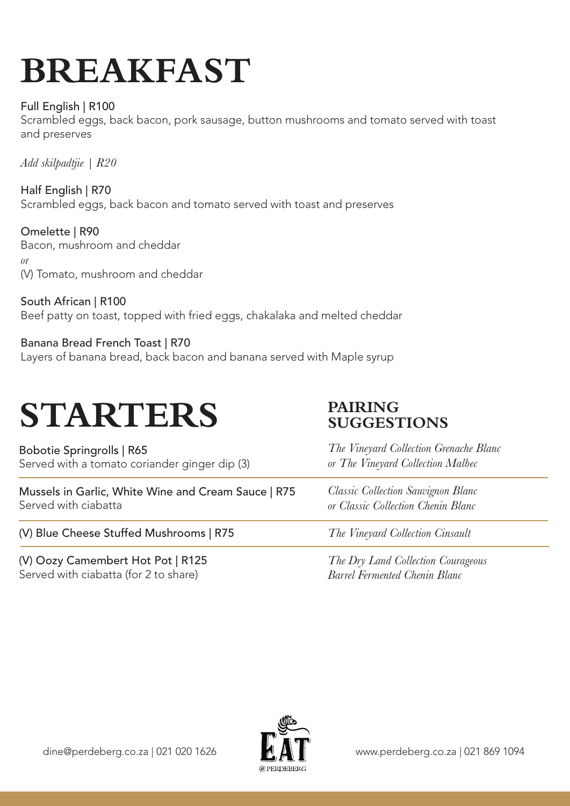# **BREAKFAST**

#### Full English | R100

Scrambled eggs, back bacon, pork sausage, button mushrooms and tomato served with toast and preserves

*Add skilpadtjie | R20*

Half English | R70 Scrambled eggs, back bacon and tomato served with toast and preserves

Omelette | R90 Bacon, mushroom and cheddar *or* (V) Tomato, mushroom and cheddar

South African | R100 Beef patty on toast, topped with fried eggs, chakalaka and melted cheddar

Banana Bread French Toast | R70 Layers of banana bread, back bacon and banana served with Maple syrup

## **STARTERS**

Bobotie Springrolls | R65 Served with a tomato coriander ginger dip (3)

Mussels in Garlic, White Wine and Cream Sauce | R75 Served with ciabatta

(V) Blue Cheese Stuffed Mushrooms | R75

(V) Oozy Camembert Hot Pot | R125 Served with ciabatta (for 2 to share)

### **PAIRING SUGGESTIONS**

*The Vineyard Collection Grenache Blanc or The Vineyard Collection Malbec*

*Classic Collection Sauvignon Blanc or Classic Collection Chenin Blanc*

*The Vineyard Collection Cinsault*

*The Dry Land Collection Courageous Barrel Fermented Chenin Blanc*

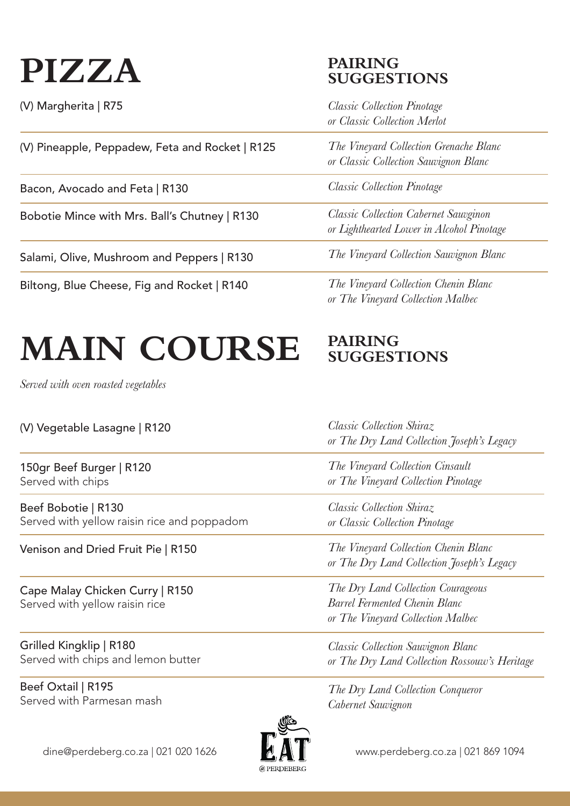## **PIZZA**

(V) Margherita | R75

(V) Pineapple, Peppadew, Feta and Rocket | R125

Bacon, Avocado and Feta | R130

Bobotie Mince with Mrs. Ball's Chutney | R130

Salami, Olive, Mushroom and Peppers | R130

Biltong, Blue Cheese, Fig and Rocket | R140

### **PAIRING SUGGESTIONS**

*Classic Collection Pinotage or Classic Collection Merlot*

*The Vineyard Collection Grenache Blanc or Classic Collection Sauvignon Blanc*

*Classic Collection Pinotage*

*Classic Collection Cabernet Sauvginon or Lighthearted Lower in Alcohol Pinotage*

*The Vineyard Collection Sauvignon Blanc*

*The Vineyard Collection Chenin Blanc or The Vineyard Collection Malbec*

#### **MAIN COURSE PAIRING SUGGESTIONS**

*Served with oven roasted vegetables*

| (V) Vegetable Lasagne   R120 |  |
|------------------------------|--|
|                              |  |

150gr Beef Burger | R120 Served with chips

Beef Bobotie | R130 Served with yellow raisin rice and poppadom

Venison and Dried Fruit Pie | R150

Cape Malay Chicken Curry | R150 Served with yellow raisin rice

Grilled Kingklip | R180 Served with chips and lemon butter

Beef Oxtail | R195 Served with Parmesan mash

*Classic Collection Shiraz or The Dry Land Collection Joseph's Legacy*

*The Vineyard Collection Cinsault or The Vineyard Collection Pinotage*

*Classic Collection Shiraz or Classic Collection Pinotage*

*The Vineyard Collection Chenin Blanc or The Dry Land Collection Joseph's Legacy*

*The Dry Land Collection Courageous Barrel Fermented Chenin Blanc or The Vineyard Collection Malbec*

*Classic Collection Sauvignon Blanc or The Dry Land Collection Rossouw's Heritage* 

*The Dry Land Collection Conqueror Cabernet Sauvignon* 

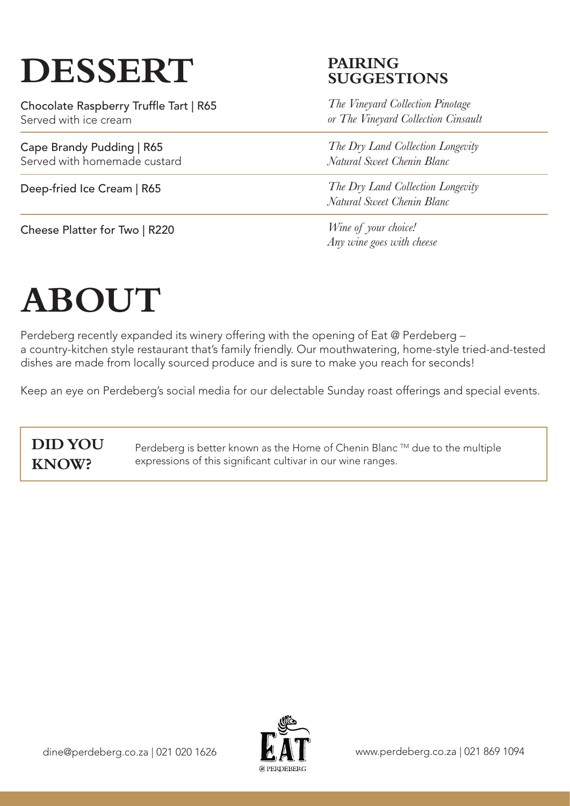# **DESSERT**

Chocolate Raspberry Truffle Tart | R65 Served with ice cream

Cape Brandy Pudding | R65 Served with homemade custard

Deep-fried Ice Cream | R65

Cheese Platter for Two | R220

### **PAIRING SUGGESTIONS**

*The Vineyard Collection Pinotage or The Vineyard Collection Cinsault*

*The Dry Land Collection Longevity Natural Sweet Chenin Blanc*

*The Dry Land Collection Longevity Natural Sweet Chenin Blanc*

*Wine of your choice! Any wine goes with cheese* 

# **ABOUT**

Perdeberg recently expanded its winery offering with the opening of Eat @ Perdeberg – a country-kitchen style restaurant that's family friendly. Our mouthwatering, home-style tried-and-tested dishes are made from locally sourced produce and is sure to make you reach for seconds!

Keep an eye on Perdeberg's social media for our delectable Sunday roast offerings and special events.

### **DID YOU KNOW?**

Perdeberg is better known as the Home of Chenin Blanc ™ due to the multiple expressions of this significant cultivar in our wine ranges.